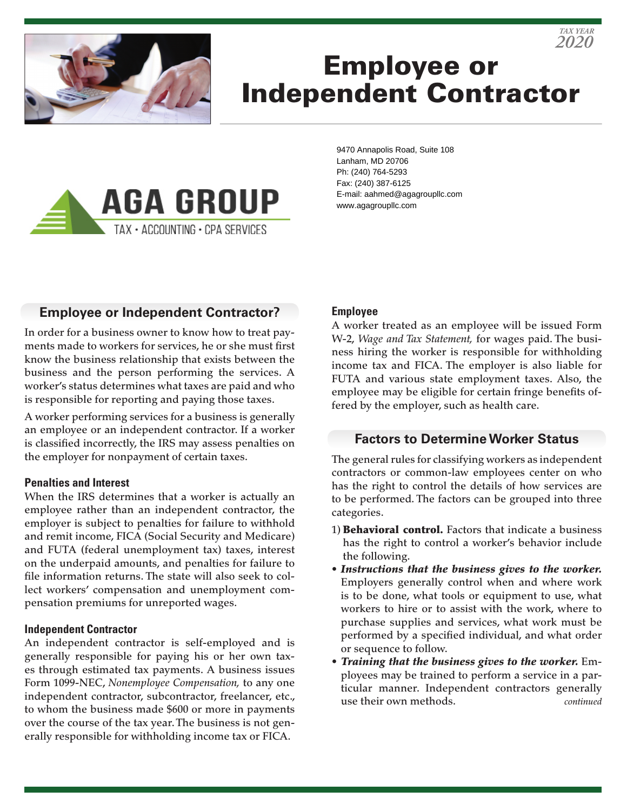



# Employee or Independent Contractor



9470 Annapolis Road, Suite 108 Lanham, MD 20706 Ph: (240) 764-5293 Fax: (240) 387-6125 E-mail: aahmed@agagroupllc.com www.agagroupllc.com

## **Employee or Independent Contractor?**

In order for a business owner to know how to treat payments made to workers for services, he or she must first know the business relationship that exists between the business and the person performing the services. A worker's status determines what taxes are paid and who is responsible for reporting and paying those taxes.

A worker performing services for a business is generally an employee or an independent contractor. If a worker is classified incorrectly, the IRS may assess penalties on the employer for nonpayment of certain taxes.

#### **Penalties and Interest**

When the IRS determines that a worker is actually an employee rather than an independent contractor, the employer is subject to penalties for failure to withhold and remit income, FICA (Social Security and Medicare) and FUTA (federal unemployment tax) taxes, interest on the underpaid amounts, and penalties for failure to file information returns. The state will also seek to collect workers' compensation and unemployment compensation premiums for unreported wages.

#### **Independent Contractor**

An independent contractor is self-employed and is generally responsible for paying his or her own taxes through estimated tax payments. A business issues Form 1099-NEC, *Nonemployee Compensation,* to any one independent contractor, subcontractor, freelancer, etc., to whom the business made \$600 or more in payments over the course of the tax year. The business is not generally responsible for withholding income tax or FICA.

#### **Employee**

A worker treated as an employee will be issued Form W-2, *Wage and Tax Statement,* for wages paid. The business hiring the worker is responsible for withholding income tax and FICA. The employer is also liable for FUTA and various state employment taxes. Also, the employee may be eligible for certain fringe benefits offered by the employer, such as health care.

#### **Factors to Determine Worker Status**

The general rules for classifying workers as independent contractors or common-law employees center on who has the right to control the details of how services are to be performed. The factors can be grouped into three categories.

- 1) **Behavioral control.** Factors that indicate a business has the right to control a worker's behavior include the following.
- *Instructions that the business gives to the worker.* Employers generally control when and where work is to be done, what tools or equipment to use, what workers to hire or to assist with the work, where to purchase supplies and services, what work must be performed by a specified individual, and what order or sequence to follow.
- *Training that the business gives to the worker.* Employees may be trained to perform a service in a particular manner. Independent contractors generally use their own methods. *continued*